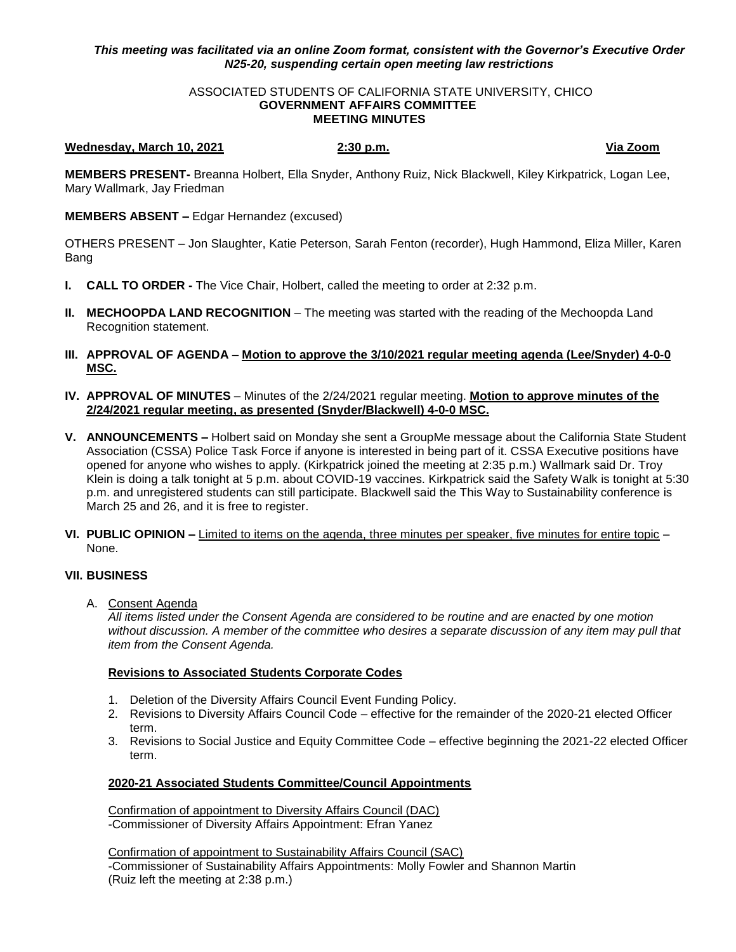## *This meeting was facilitated via an online Zoom format, consistent with the Governor's Executive Order N25-20, suspending certain open meeting law restrictions*

### ASSOCIATED STUDENTS OF CALIFORNIA STATE UNIVERSITY, CHICO **GOVERNMENT AFFAIRS COMMITTEE MEETING MINUTES**

## **Wednesday, March 10, 2021 2:30 p.m. Via Zoom**

**MEMBERS PRESENT-** Breanna Holbert, Ella Snyder, Anthony Ruiz, Nick Blackwell, Kiley Kirkpatrick, Logan Lee, Mary Wallmark, Jay Friedman

**MEMBERS ABSENT –** Edgar Hernandez (excused)

OTHERS PRESENT – Jon Slaughter, Katie Peterson, Sarah Fenton (recorder), Hugh Hammond, Eliza Miller, Karen Bang

- **I. CALL TO ORDER -** The Vice Chair, Holbert, called the meeting to order at 2:32 p.m.
- **II. MECHOOPDA LAND RECOGNITION** The meeting was started with the reading of the Mechoopda Land Recognition statement.
- **III. APPROVAL OF AGENDA – Motion to approve the 3/10/2021 regular meeting agenda (Lee/Snyder) 4-0-0 MSC.**
- **IV. APPROVAL OF MINUTES** Minutes of the 2/24/2021 regular meeting. **Motion to approve minutes of the 2/24/2021 regular meeting, as presented (Snyder/Blackwell) 4-0-0 MSC.**
- **V. ANNOUNCEMENTS –** Holbert said on Monday she sent a GroupMe message about the California State Student Association (CSSA) Police Task Force if anyone is interested in being part of it. CSSA Executive positions have opened for anyone who wishes to apply. (Kirkpatrick joined the meeting at 2:35 p.m.) Wallmark said Dr. Troy Klein is doing a talk tonight at 5 p.m. about COVID-19 vaccines. Kirkpatrick said the Safety Walk is tonight at 5:30 p.m. and unregistered students can still participate. Blackwell said the This Way to Sustainability conference is March 25 and 26, and it is free to register.
- **VI. PUBLIC OPINION –** Limited to items on the agenda, three minutes per speaker, five minutes for entire topic None.

## **VII. BUSINESS**

A. Consent Agenda

*All items listed under the Consent Agenda are considered to be routine and are enacted by one motion without discussion. A member of the committee who desires a separate discussion of any item may pull that item from the Consent Agenda.* 

## **Revisions to Associated Students Corporate Codes**

- 1. Deletion of the Diversity Affairs Council Event Funding Policy.
- 2. Revisions to Diversity Affairs Council Code effective for the remainder of the 2020-21 elected Officer term.
- 3. Revisions to Social Justice and Equity Committee Code effective beginning the 2021-22 elected Officer term.

# **2020-21 Associated Students Committee/Council Appointments**

Confirmation of appointment to Diversity Affairs Council (DAC) -Commissioner of Diversity Affairs Appointment: Efran Yanez

Confirmation of appointment to Sustainability Affairs Council (SAC) -Commissioner of Sustainability Affairs Appointments: Molly Fowler and Shannon Martin (Ruiz left the meeting at 2:38 p.m.)